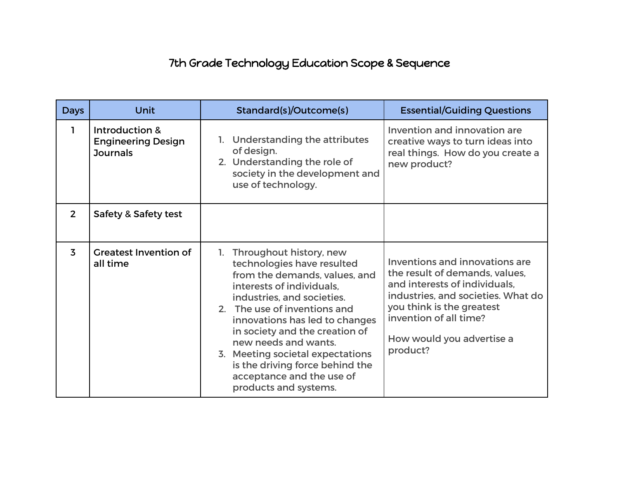## 7th Grade Technology Education Scope & Sequence

| <b>Days</b>    | <b>Unit</b>                                                    | Standard(s)/Outcome(s)                                                                                                                                                                                                                                                                                                                                                                                           | <b>Essential/Guiding Questions</b>                                                                                                                                                                                                      |
|----------------|----------------------------------------------------------------|------------------------------------------------------------------------------------------------------------------------------------------------------------------------------------------------------------------------------------------------------------------------------------------------------------------------------------------------------------------------------------------------------------------|-----------------------------------------------------------------------------------------------------------------------------------------------------------------------------------------------------------------------------------------|
| ı              | Introduction &<br><b>Engineering Design</b><br><b>Journals</b> | 1. Understanding the attributes<br>of design.<br>2. Understanding the role of<br>society in the development and<br>use of technology.                                                                                                                                                                                                                                                                            | Invention and innovation are<br>creative ways to turn ideas into<br>real things. How do you create a<br>new product?                                                                                                                    |
| $2^{\circ}$    | Safety & Safety test                                           |                                                                                                                                                                                                                                                                                                                                                                                                                  |                                                                                                                                                                                                                                         |
| $\overline{3}$ | <b>Greatest Invention of</b><br>all time                       | Throughout history, new<br>1.<br>technologies have resulted<br>from the demands, values, and<br>interests of individuals.<br>industries, and societies.<br>2. The use of inventions and<br>innovations has led to changes<br>in society and the creation of<br>new needs and wants.<br>3. Meeting societal expectations<br>is the driving force behind the<br>acceptance and the use of<br>products and systems. | Inventions and innovations are<br>the result of demands, values,<br>and interests of individuals,<br>industries, and societies. What do<br>you think is the greatest<br>invention of all time?<br>How would you advertise a<br>product? |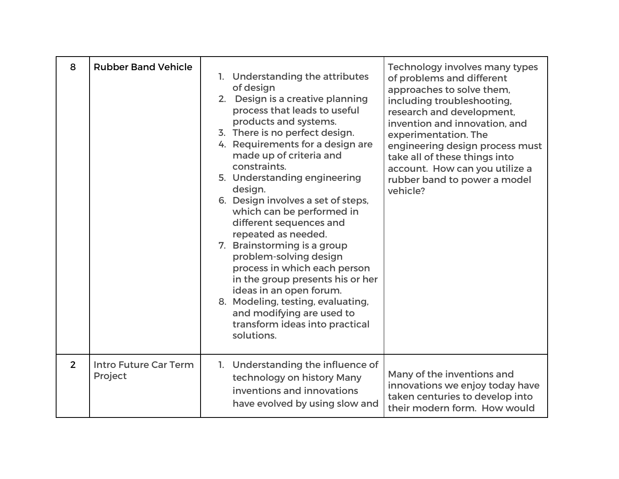| 8              | <b>Rubber Band Vehicle</b>              | Technology involves many types<br>1. Understanding the attributes<br>of problems and different<br>of design<br>approaches to solve them,<br>2. Design is a creative planning<br>including troubleshooting,<br>process that leads to useful<br>research and development,<br>products and systems.<br>invention and innovation, and<br>3. There is no perfect design.<br>experimentation. The<br>4. Requirements for a design are<br>engineering design process must<br>made up of criteria and<br>take all of these things into<br>constraints.<br>account. How can you utilize a<br>5. Understanding engineering<br>rubber band to power a model<br>design.<br>vehicle?<br>6. Design involves a set of steps,<br>which can be performed in<br>different sequences and<br>repeated as needed.<br>7. Brainstorming is a group<br>problem-solving design<br>process in which each person<br>in the group presents his or her<br>ideas in an open forum.<br>8. Modeling, testing, evaluating,<br>and modifying are used to<br>transform ideas into practical<br>solutions. |
|----------------|-----------------------------------------|------------------------------------------------------------------------------------------------------------------------------------------------------------------------------------------------------------------------------------------------------------------------------------------------------------------------------------------------------------------------------------------------------------------------------------------------------------------------------------------------------------------------------------------------------------------------------------------------------------------------------------------------------------------------------------------------------------------------------------------------------------------------------------------------------------------------------------------------------------------------------------------------------------------------------------------------------------------------------------------------------------------------------------------------------------------------|
| 2 <sup>1</sup> | <b>Intro Future Car Term</b><br>Project | 1. Understanding the influence of<br>Many of the inventions and<br>technology on history Many<br>innovations we enjoy today have<br>inventions and innovations<br>taken centuries to develop into<br>have evolved by using slow and<br>their modern form. How would                                                                                                                                                                                                                                                                                                                                                                                                                                                                                                                                                                                                                                                                                                                                                                                                    |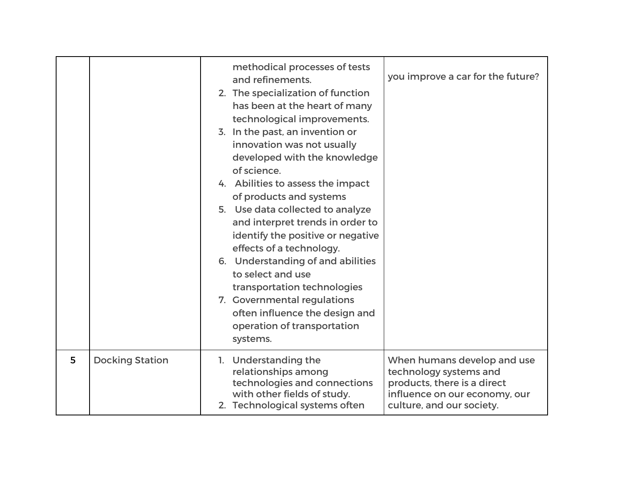|   |                        | methodical processes of tests<br>and refinements.<br>2. The specialization of function<br>has been at the heart of many<br>technological improvements.<br>3. In the past, an invention or<br>innovation was not usually<br>developed with the knowledge<br>of science.<br>4. Abilities to assess the impact<br>of products and systems<br>5. Use data collected to analyze<br>and interpret trends in order to<br>identify the positive or negative<br>effects of a technology.<br>6. Understanding of and abilities<br>to select and use<br>transportation technologies<br>7. Governmental regulations<br>often influence the design and<br>operation of transportation<br>systems. | you improve a car for the future?                                                                                                                  |
|---|------------------------|--------------------------------------------------------------------------------------------------------------------------------------------------------------------------------------------------------------------------------------------------------------------------------------------------------------------------------------------------------------------------------------------------------------------------------------------------------------------------------------------------------------------------------------------------------------------------------------------------------------------------------------------------------------------------------------|----------------------------------------------------------------------------------------------------------------------------------------------------|
| 5 | <b>Docking Station</b> | 1. Understanding the<br>relationships among<br>technologies and connections<br>with other fields of study.<br>2. Technological systems often                                                                                                                                                                                                                                                                                                                                                                                                                                                                                                                                         | When humans develop and use<br>technology systems and<br>products, there is a direct<br>influence on our economy, our<br>culture, and our society. |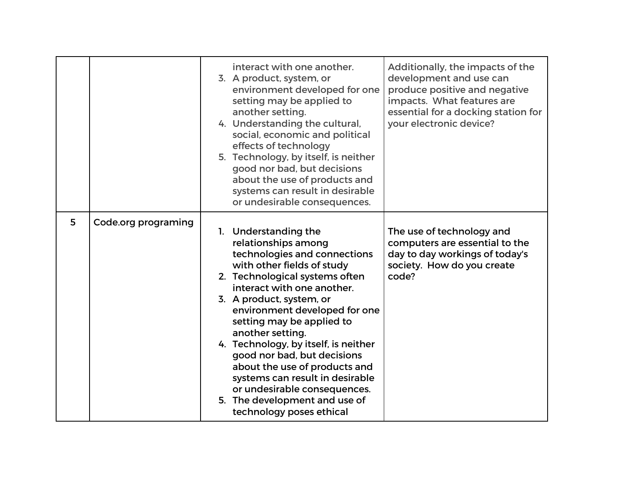|   |                     | interact with one another.<br>3. A product, system, or<br>environment developed for one<br>setting may be applied to<br>another setting.<br>4. Understanding the cultural,<br>social, economic and political<br>effects of technology<br>5. Technology, by itself, is neither<br>good nor bad, but decisions<br>about the use of products and<br>systems can result in desirable<br>or undesirable consequences.                                                                                                                | Additionally, the impacts of the<br>development and use can<br>produce positive and negative<br>impacts. What features are<br>essential for a docking station for<br>your electronic device? |
|---|---------------------|---------------------------------------------------------------------------------------------------------------------------------------------------------------------------------------------------------------------------------------------------------------------------------------------------------------------------------------------------------------------------------------------------------------------------------------------------------------------------------------------------------------------------------|----------------------------------------------------------------------------------------------------------------------------------------------------------------------------------------------|
| 5 | Code.org programing | 1. Understanding the<br>relationships among<br>technologies and connections<br>with other fields of study<br>2. Technological systems often<br>interact with one another.<br>3. A product, system, or<br>environment developed for one<br>setting may be applied to<br>another setting.<br>4. Technology, by itself, is neither<br>good nor bad, but decisions<br>about the use of products and<br>systems can result in desirable<br>or undesirable consequences.<br>5. The development and use of<br>technology poses ethical | The use of technology and<br>computers are essential to the<br>day to day workings of today's<br>society. How do you create<br>code?                                                         |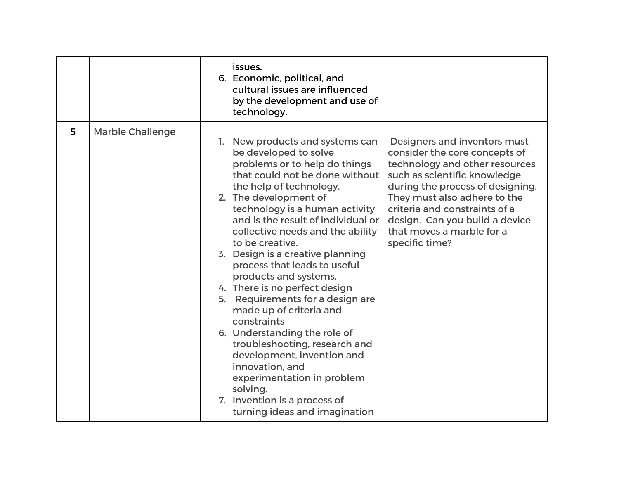|   |                         | issues.<br>6. Economic, political, and<br>cultural issues are influenced<br>by the development and use of<br>technology.                                                                                                                                                                                                                                                                                                                                                                                                                                                                                                                                                                                                                                |                                                                                                                                                                                                                                                                                                                       |
|---|-------------------------|---------------------------------------------------------------------------------------------------------------------------------------------------------------------------------------------------------------------------------------------------------------------------------------------------------------------------------------------------------------------------------------------------------------------------------------------------------------------------------------------------------------------------------------------------------------------------------------------------------------------------------------------------------------------------------------------------------------------------------------------------------|-----------------------------------------------------------------------------------------------------------------------------------------------------------------------------------------------------------------------------------------------------------------------------------------------------------------------|
| 5 | <b>Marble Challenge</b> | 1. New products and systems can<br>be developed to solve<br>problems or to help do things<br>that could not be done without<br>the help of technology.<br>2. The development of<br>technology is a human activity<br>and is the result of individual or<br>collective needs and the ability<br>to be creative.<br>3. Design is a creative planning<br>process that leads to useful<br>products and systems.<br>4. There is no perfect design<br>5. Requirements for a design are<br>made up of criteria and<br>constraints<br>6. Understanding the role of<br>troubleshooting, research and<br>development, invention and<br>innovation, and<br>experimentation in problem<br>solving.<br>7. Invention is a process of<br>turning ideas and imagination | Designers and inventors must<br>consider the core concepts of<br>technology and other resources<br>such as scientific knowledge<br>during the process of designing.<br>They must also adhere to the<br>criteria and constraints of a<br>design. Can you build a device<br>that moves a marble for a<br>specific time? |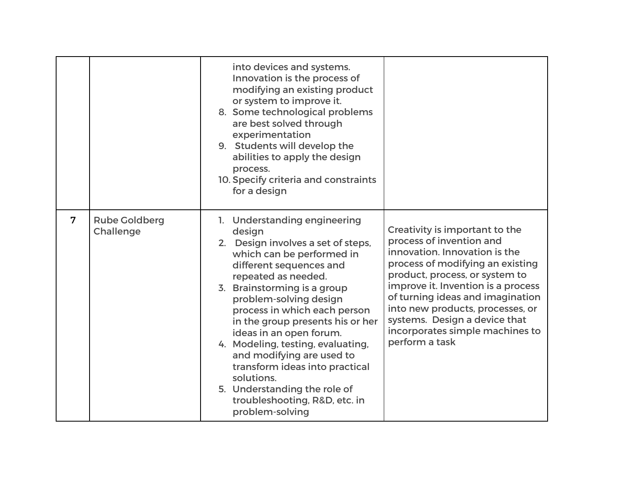|                |                                   | into devices and systems.<br>Innovation is the process of<br>modifying an existing product<br>or system to improve it.<br>8. Some technological problems<br>are best solved through<br>experimentation<br>9. Students will develop the<br>abilities to apply the design<br>process.<br>10. Specify criteria and constraints<br>for a design                                                                                                                                                                                                                                                                                                                                                                                                                                                                                                                                                        |
|----------------|-----------------------------------|----------------------------------------------------------------------------------------------------------------------------------------------------------------------------------------------------------------------------------------------------------------------------------------------------------------------------------------------------------------------------------------------------------------------------------------------------------------------------------------------------------------------------------------------------------------------------------------------------------------------------------------------------------------------------------------------------------------------------------------------------------------------------------------------------------------------------------------------------------------------------------------------------|
| $\overline{7}$ | <b>Rube Goldberg</b><br>Challenge | 1. Understanding engineering<br>Creativity is important to the<br>design<br>process of invention and<br>2. Design involves a set of steps,<br>innovation. Innovation is the<br>which can be performed in<br>process of modifying an existing<br>different sequences and<br>product, process, or system to<br>repeated as needed.<br>improve it. Invention is a process<br>3. Brainstorming is a group<br>of turning ideas and imagination<br>problem-solving design<br>into new products, processes, or<br>process in which each person<br>systems. Design a device that<br>in the group presents his or her<br>incorporates simple machines to<br>ideas in an open forum.<br>perform a task<br>4. Modeling, testing, evaluating,<br>and modifying are used to<br>transform ideas into practical<br>solutions.<br>5. Understanding the role of<br>troubleshooting, R&D, etc. in<br>problem-solving |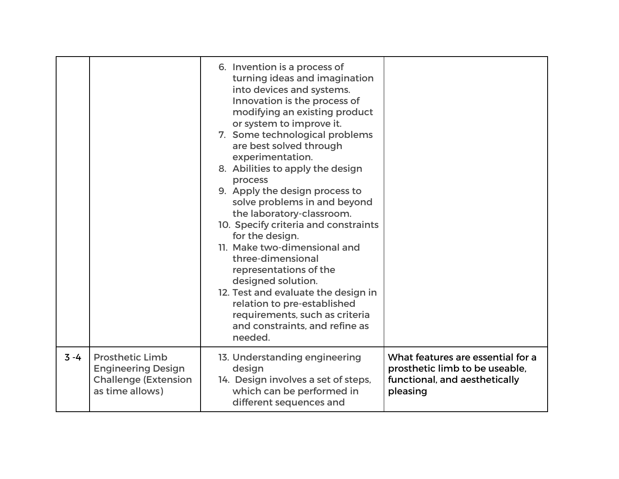|         |                                                                                                       | 6. Invention is a process of<br>turning ideas and imagination<br>into devices and systems.<br>Innovation is the process of<br>modifying an existing product<br>or system to improve it.<br>7. Some technological problems<br>are best solved through<br>experimentation.<br>8. Abilities to apply the design<br>process<br>9. Apply the design process to<br>solve problems in and beyond<br>the laboratory-classroom.<br>10. Specify criteria and constraints<br>for the design.<br>11. Make two-dimensional and<br>three-dimensional<br>representations of the<br>designed solution.<br>12. Test and evaluate the design in<br>relation to pre-established<br>requirements, such as criteria<br>and constraints, and refine as<br>needed. |                                                                                                                  |
|---------|-------------------------------------------------------------------------------------------------------|---------------------------------------------------------------------------------------------------------------------------------------------------------------------------------------------------------------------------------------------------------------------------------------------------------------------------------------------------------------------------------------------------------------------------------------------------------------------------------------------------------------------------------------------------------------------------------------------------------------------------------------------------------------------------------------------------------------------------------------------|------------------------------------------------------------------------------------------------------------------|
| $3 - 4$ | <b>Prosthetic Limb</b><br><b>Engineering Design</b><br><b>Challenge (Extension</b><br>as time allows) | 13. Understanding engineering<br>design<br>14. Design involves a set of steps,<br>which can be performed in<br>different sequences and                                                                                                                                                                                                                                                                                                                                                                                                                                                                                                                                                                                                      | What features are essential for a<br>prosthetic limb to be useable,<br>functional, and aesthetically<br>pleasing |